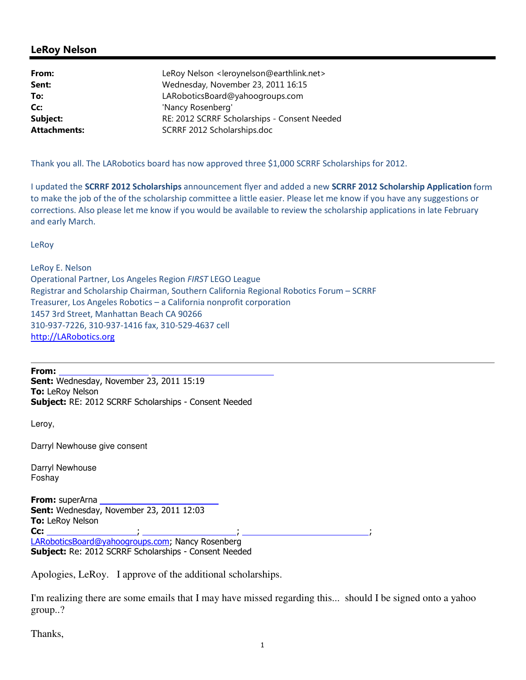## LeRoy Nelson

| LeRoy Nelson <leroynelson@earthlink.net></leroynelson@earthlink.net> |
|----------------------------------------------------------------------|
| Wednesday, November 23, 2011 16:15                                   |
| LARoboticsBoard@yahoogroups.com                                      |
| 'Nancy Rosenberg'                                                    |
| RE: 2012 SCRRF Scholarships - Consent Needed                         |
| SCRRF 2012 Scholarships.doc                                          |
|                                                                      |

Thank you all. The LARobotics board has now approved three \$1,000 SCRRF Scholarships for 2012.

I updated the SCRRF 2012 Scholarships announcement flyer and added a new SCRRF 2012 Scholarship Application form to make the job of the of the scholarship committee a little easier. Please let me know if you have any suggestions or corrections. Also please let me know if you would be available to review the scholarship applications in late February and early March.

LeRoy

LeRoy E. Nelson Operational Partner, Los Angeles Region FIRST LEGO League Registrar and Scholarship Chairman, Southern California Regional Robotics Forum – SCRRF Treasurer, Los Angeles Robotics – a California nonprofit corporation 1457 3rd Street, Manhattan Beach CA 90266 310-937-7226, 310-937-1416 fax, 310-529-4637 cell http://LARobotics.org

From: Sent: Wednesday, November 23, 2011 15:19 **To: LeRoy Nelson** Subject: RE: 2012 SCRRF Scholarships - Consent Needed

Leroy,

Darryl Newhouse give consent

Darryl Newhouse Foshay

**From:** superArna Sent: Wednesday, November 23, 2011 12:03 To: LeRoy Nelson Cc: ; ; ; LARoboticsBoard@yahoogroups.com; Nancy Rosenberg Subject: Re: 2012 SCRRF Scholarships - Consent Needed

Apologies, LeRoy. I approve of the additional scholarships.

I'm realizing there are some emails that I may have missed regarding this... should I be signed onto a yahoo group..?

Thanks,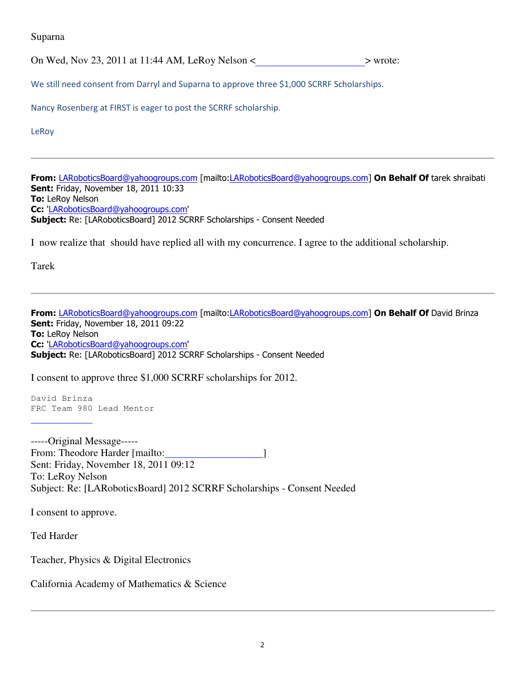Suparna

On Wed, Nov 23, 2011 at 11:44 AM, LeRoy Nelson  $\lt$   $\gt$  wrote:

We still need consent from Darryl and Suparna to approve three \$1,000 SCRRF Scholarships.

Nancy Rosenberg at FIRST is eager to post the SCRRF scholarship.

LeRoy

From: LARoboticsBoard@yahoogroups.com [mailto:LARoboticsBoard@yahoogroups.com] On Behalf Of tarek shraibati **Sent: Friday, November 18, 2011 10:33 To: LeRoy Nelson** Cc: 'LARoboticsBoard@yahoogroups.com' Subject: Re: [LARoboticsBoard] 2012 SCRRF Scholarships - Consent Needed

I now realize that should have replied all with my concurrence. I agree to the additional scholarship.

Tarek

From: LARoboticsBoard@yahoogroups.com [mailto:LARoboticsBoard@yahoogroups.com] On Behalf Of David Brinza **Sent: Friday, November 18, 2011 09:22** To: LeRoy Nelson Cc: 'LARoboticsBoard@yahoogroups.com' Subject: Re: [LARoboticsBoard] 2012 SCRRF Scholarships - Consent Needed

I consent to approve three \$1,000 SCRRF scholarships for 2012.

David Brinza FRC Team 980 Lead Mentor

-----Original Message----- From: Theodore Harder [mailto: ] Sent: Friday, November 18, 2011 09:12 To: LeRoy Nelson Subject: Re: [LARoboticsBoard] 2012 SCRRF Scholarships - Consent Needed

I consent to approve.

Ted Harder

Teacher, Physics & Digital Electronics

California Academy of Mathematics & Science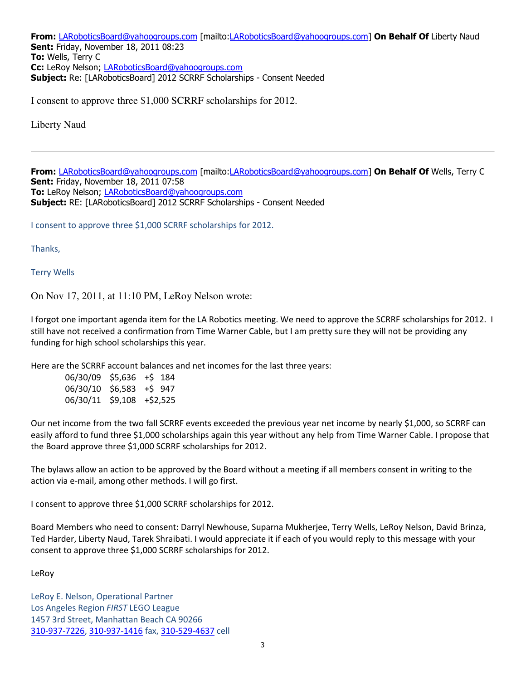From: LARoboticsBoard@yahoogroups.com [mailto:LARoboticsBoard@yahoogroups.com] On Behalf Of Liberty Naud **Sent: Friday, November 18, 2011 08:23** To: Wells, Terry C Cc: LeRoy Nelson; LARoboticsBoard@yahoogroups.com Subject: Re: [LARoboticsBoard] 2012 SCRRF Scholarships - Consent Needed

I consent to approve three \$1,000 SCRRF scholarships for 2012.

Liberty Naud

From: LARoboticsBoard@yahoogroups.com [mailto:LARoboticsBoard@yahoogroups.com] On Behalf Of Wells, Terry C Sent: Friday, November 18, 2011 07:58 To: LeRoy Nelson; LARoboticsBoard@yahoogroups.com Subject: RE: [LARoboticsBoard] 2012 SCRRF Scholarships - Consent Needed

I consent to approve three \$1,000 SCRRF scholarships for 2012.

Thanks,

Terry Wells

On Nov 17, 2011, at 11:10 PM, LeRoy Nelson wrote:

I forgot one important agenda item for the LA Robotics meeting. We need to approve the SCRRF scholarships for 2012. I still have not received a confirmation from Time Warner Cable, but I am pretty sure they will not be providing any funding for high school scholarships this year.

Here are the SCRRF account balances and net incomes for the last three years:

 06/30/09 \$5,636 +\$ 184 06/30/10 \$6,583 +\$ 947 06/30/11 \$9,108 +\$2,525

Our net income from the two fall SCRRF events exceeded the previous year net income by nearly \$1,000, so SCRRF can easily afford to fund three \$1,000 scholarships again this year without any help from Time Warner Cable. I propose that the Board approve three \$1,000 SCRRF scholarships for 2012.

The bylaws allow an action to be approved by the Board without a meeting if all members consent in writing to the action via e-mail, among other methods. I will go first.

I consent to approve three \$1,000 SCRRF scholarships for 2012.

Board Members who need to consent: Darryl Newhouse, Suparna Mukherjee, Terry Wells, LeRoy Nelson, David Brinza, Ted Harder, Liberty Naud, Tarek Shraibati. I would appreciate it if each of you would reply to this message with your consent to approve three \$1,000 SCRRF scholarships for 2012.

LeRoy

LeRoy E. Nelson, Operational Partner Los Angeles Region FIRST LEGO League 1457 3rd Street, Manhattan Beach CA 90266 310-937-7226, 310-937-1416 fax, 310-529-4637 cell